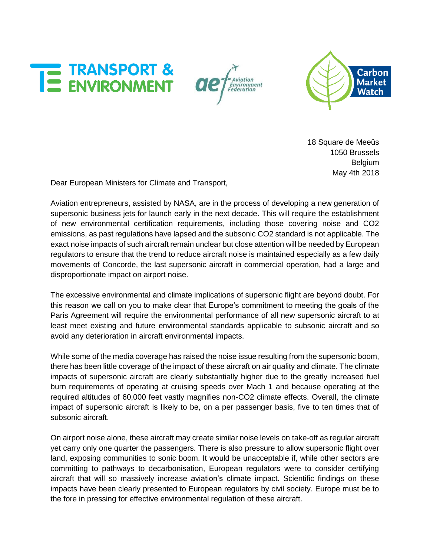





18 Square de Meeûs 1050 Brussels Belgium May 4th 2018

Dear European Ministers for Climate and Transport,

Aviation entrepreneurs, assisted by NASA, are in the process of developing a new generation of supersonic business jets for launch early in the next decade. This will require the establishment of new environmental certification requirements, including those covering noise and CO2 emissions, as past regulations have lapsed and the subsonic CO2 standard is not applicable. The exact noise impacts of such aircraft remain unclear but close attention will be needed by European regulators to ensure that the trend to reduce aircraft noise is maintained especially as a few daily movements of Concorde, the last supersonic aircraft in commercial operation, had a large and disproportionate impact on airport noise.

The excessive environmental and climate implications of supersonic flight are beyond doubt. For this reason we call on you to make clear that Europe's commitment to meeting the goals of the Paris Agreement will require the environmental performance of all new supersonic aircraft to at least meet existing and future environmental standards applicable to subsonic aircraft and so avoid any deterioration in aircraft environmental impacts.

While some of the media coverage has raised the noise issue resulting from the supersonic boom, there has been little coverage of the impact of these aircraft on air quality and climate. The climate impacts of supersonic aircraft are clearly substantially higher due to the greatly increased fuel burn requirements of operating at cruising speeds over Mach 1 and because operating at the required altitudes of 60,000 feet vastly magnifies non-CO2 climate effects. Overall, the climate impact of supersonic aircraft is likely to be, on a per passenger basis, five to ten times that of subsonic aircraft.

On airport noise alone, these aircraft may create similar noise levels on take-off as regular aircraft yet carry only one quarter the passengers. There is also pressure to allow supersonic flight over land, exposing communities to sonic boom. It would be unacceptable if, while other sectors are committing to pathways to decarbonisation, European regulators were to consider certifying aircraft that will so massively increase aviation's climate impact. Scientific findings on these impacts have been clearly presented to European regulators by civil society. Europe must be to the fore in pressing for effective environmental regulation of these aircraft.